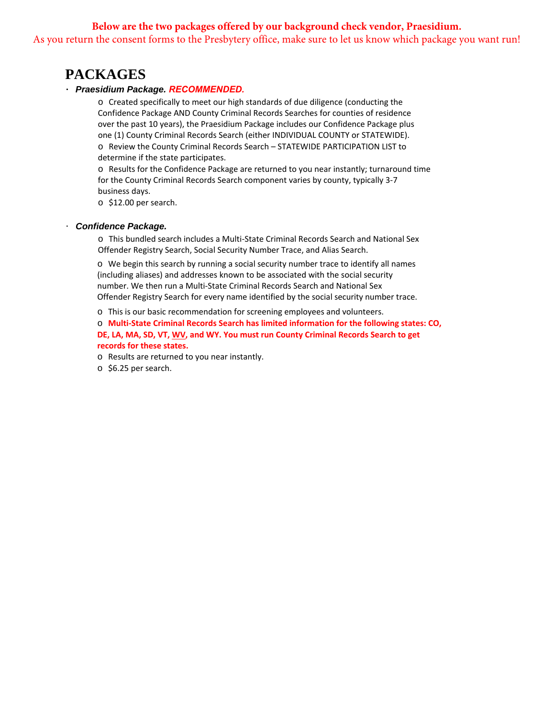## **Below are the two packages offered by our background check vendor, Praesidium.** As you return the consent forms to the Presbytery office, make sure to let us know which package you want run!

# **PACKAGES**

#### ・ *Praesidium Package. RECOMMENDED.*

o Created specifically to meet our high standards of due diligence (conducting the Confidence Package AND County Criminal Records Searches for counties of residence over the past 10 years), the Praesidium Package includes our Confidence Package plus one (1) County Criminal Records Search (either INDIVIDUAL COUNTY or STATEWIDE). o Review the County Criminal Records Search – STATEWIDE PARTICIPATION LIST to determine if the state participates.

o Results for the Confidence Package are returned to you near instantly; turnaround time for the County Criminal Records Search component varies by county, typically 3‐7 business days.

o \$12.00 per search.

#### ・ *Confidence Package.*

o This bundled search includes a Multi‐State Criminal Records Search and National Sex Offender Registry Search, Social Security Number Trace, and Alias Search.

o We begin this search by running a social security number trace to identify all names (including aliases) and addresses known to be associated with the social security number. We then run a Multi‐State Criminal Records Search and National Sex Offender Registry Search for every name identified by the social security number trace.

o This is our basic recommendation for screening employees and volunteers.

o **Multi-State Criminal Records Search has limited information for the following states: CO, DE, LA, MA, SD, VT, WV, and WY. You must run County Criminal Records Search to get records for these states.** 

o Results are returned to you near instantly.

o \$6.25 per search.